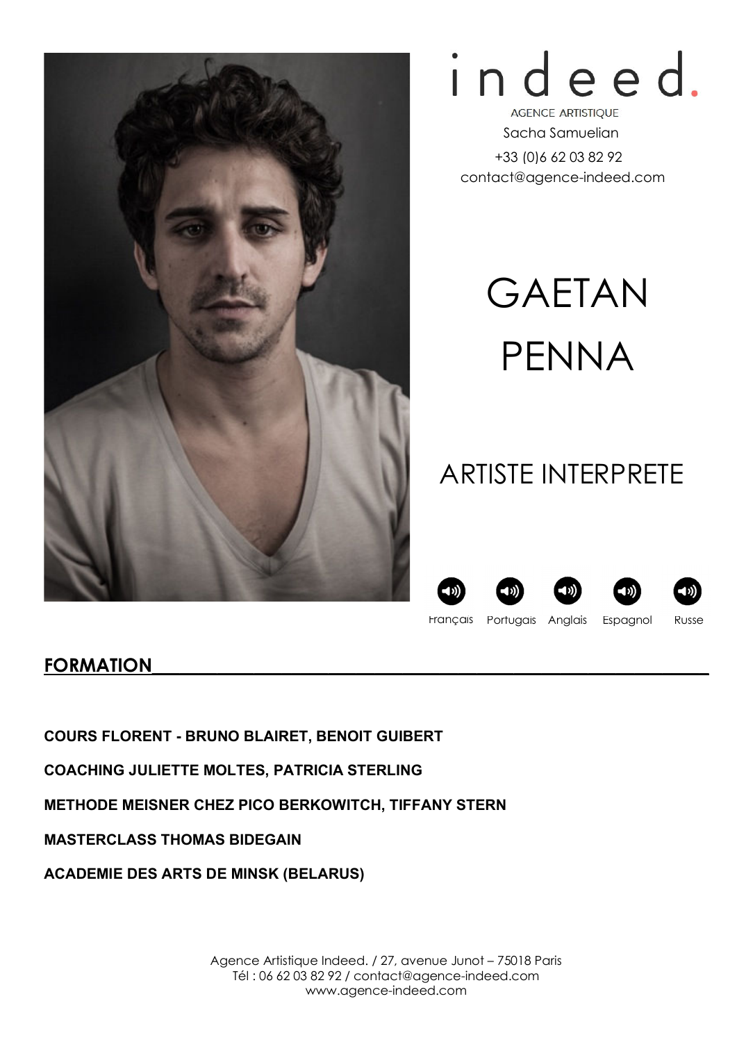



**AGENCE ARTISTIQUE** Sacha Samuelian +33 (0)6 62 03 82 92 contact@agence-indeed.com

# GAETAN PENNA

## ARTISTE INTERPRETE









Français Portugais Espagnol Russe Anglais

### FORMATION

COURS FLORENT - BRUNO BLAIRET, BENOIT GUIBERT

COACHING JULIETTE MOLTES, PATRICIA STERLING

METHODE MEISNER CHEZ PICO BERKOWITCH, TIFFANY STERN

MASTERCLASS THOMAS BIDEGAIN

ACADEMIE DES ARTS DE MINSK (BELARUS)

Agence Artistique Indeed. / 27, avenue Junot – 75018 Paris Tél : 06 62 03 82 92 / contact@agence-indeed.com www.agence-indeed.com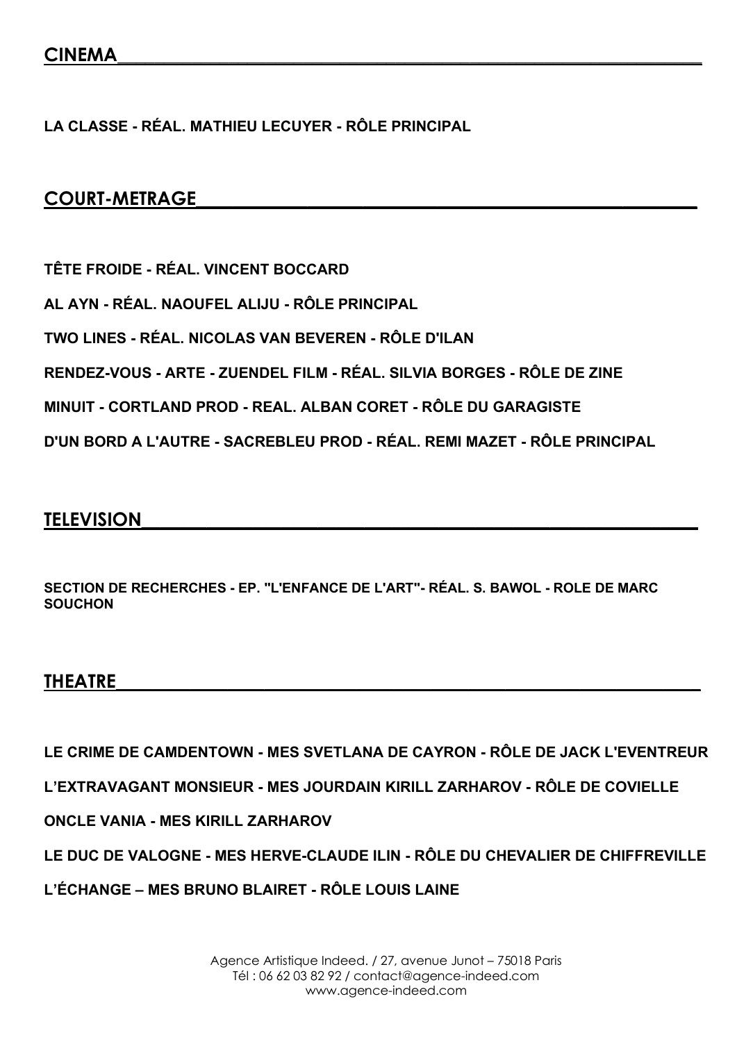LA CLASSE - RÉAL. MATHIEU LECUYER - RÔLE PRINCIPAL

#### COURT-METRAGE

TÊTE FROIDE - RÉAL. VINCENT BOCCARD AL AYN - RÉAL. NAOUFEL ALIJU - RÔLE PRINCIPAL TWO LINES - RÉAL. NICOLAS VAN BEVEREN - RÔLE D'ILAN RENDEZ-VOUS - ARTE - ZUENDEL FILM - RÉAL. SILVIA BORGES - RÔLE DE ZINE MINUIT - CORTLAND PROD - REAL. ALBAN CORET - RÔLE DU GARAGISTE D'UN BORD A L'AUTRE - SACREBLEU PROD - RÉAL. REMI MAZET - RÔLE PRINCIPAL

#### **TELEVISION**

SECTION DE RECHERCHES - EP. ''L'ENFANCE DE L'ART''- RÉAL. S. BAWOL - ROLE DE MARC **SOUCHON** 

#### THEATRE\_\_\_\_\_\_\_\_\_\_\_\_\_\_\_\_\_\_\_\_\_\_\_\_\_\_\_\_\_\_\_\_\_\_\_\_\_\_\_\_\_\_\_\_\_\_\_\_\_\_\_\_\_\_\_\_\_\_\_\_\_\_\_

LE CRIME DE CAMDENTOWN - MES SVETLANA DE CAYRON - RÔLE DE JACK L'EVENTREUR

L'EXTRAVAGANT MONSIEUR - MES JOURDAIN KIRILL ZARHAROV - RÔLE DE COVIELLE

ONCLE VANIA - MES KIRILL ZARHAROV

LE DUC DE VALOGNE - MES HERVE-CLAUDE ILIN - RÔLE DU CHEVALIER DE CHIFFREVILLE

L'ÉCHANGE – MES BRUNO BLAIRET - RÔLE LOUIS LAINE